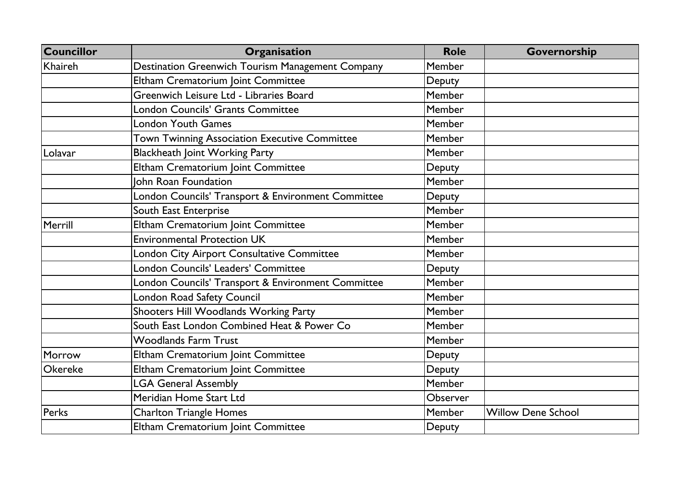| <b>Councillor</b> | Organisation                                       | <b>Role</b>   | Governorship              |
|-------------------|----------------------------------------------------|---------------|---------------------------|
| Khaireh           | Destination Greenwich Tourism Management Company   | <b>Member</b> |                           |
|                   | Eltham Crematorium Joint Committee                 | Deputy        |                           |
|                   | Greenwich Leisure Ltd - Libraries Board            | Member        |                           |
|                   | London Councils' Grants Committee                  | Member        |                           |
|                   | <b>London Youth Games</b>                          | Member        |                           |
|                   | Town Twinning Association Executive Committee      | Member        |                           |
| Lolavar           | <b>Blackheath Joint Working Party</b>              | Member        |                           |
|                   | Eltham Crematorium Joint Committee                 | Deputy        |                           |
|                   | John Roan Foundation                               | Member        |                           |
|                   | London Councils' Transport & Environment Committee | Deputy        |                           |
|                   | South East Enterprise                              | Member        |                           |
| Merrill           | Eltham Crematorium Joint Committee                 | Member        |                           |
|                   | <b>Environmental Protection UK</b>                 | Member        |                           |
|                   | London City Airport Consultative Committee         | Member        |                           |
|                   | London Councils' Leaders' Committee                | Deputy        |                           |
|                   | London Councils' Transport & Environment Committee | Member        |                           |
|                   | London Road Safety Council                         | Member        |                           |
|                   | Shooters Hill Woodlands Working Party              | Member        |                           |
|                   | South East London Combined Heat & Power Co         | Member        |                           |
|                   | <b>Woodlands Farm Trust</b>                        | Member        |                           |
| Morrow            | Eltham Crematorium Joint Committee                 | Deputy        |                           |
| Okereke           | Eltham Crematorium Joint Committee                 | Deputy        |                           |
|                   | <b>LGA General Assembly</b>                        | Member        |                           |
|                   | Meridian Home Start Ltd                            | Observer      |                           |
| Perks             | <b>Charlton Triangle Homes</b>                     | <b>Member</b> | <b>Willow Dene School</b> |
|                   | Eltham Crematorium Joint Committee                 | Deputy        |                           |